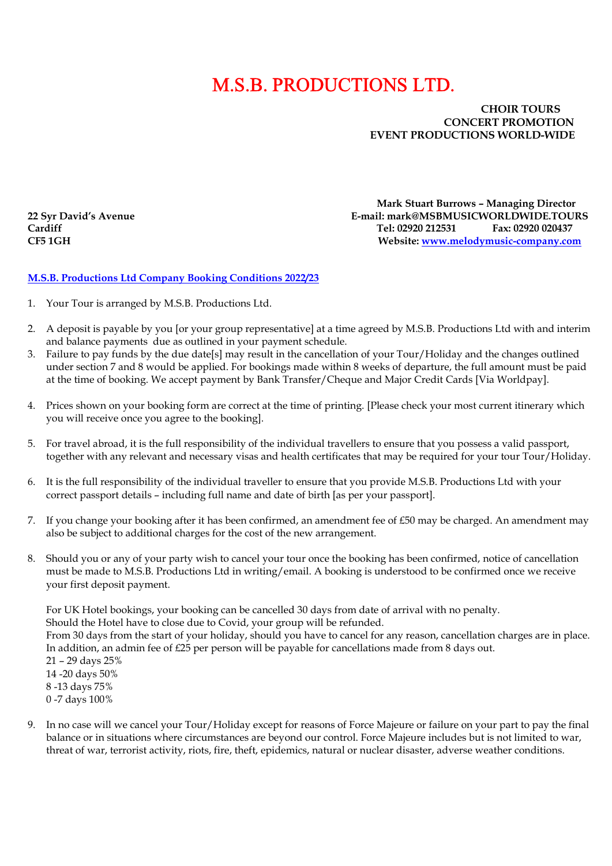## M.S.B. PRODUCTIONS LTD.

## CHOIR TOURS<br>CONCERT PROMOTIC CONCERT PROMOTION EVENT PRODUCTIONS WORLD-WIDE

 Mark Stuart Burrows – Managing Director 22 Syr David's Avenue E-mail: mark@MSBMUSICWORLDWIDE.TOURS Cardiff Tel: 02920 212531 Fax: 02920 020437 CF5 1GH Website: www.melodymusic-company.com

## M.S.B. Productions Ltd Company Booking Conditions 2022/23

- 1. Your Tour is arranged by M.S.B. Productions Ltd.
- 2. A deposit is payable by you [or your group representative] at a time agreed by M.S.B. Productions Ltd with and interim and balance payments due as outlined in your payment schedule.
- 3. Failure to pay funds by the due date[s] may result in the cancellation of your Tour/Holiday and the changes outlined under section 7 and 8 would be applied. For bookings made within 8 weeks of departure, the full amount must be paid at the time of booking. We accept payment by Bank Transfer/Cheque and Major Credit Cards [Via Worldpay].
- 4. Prices shown on your booking form are correct at the time of printing. [Please check your most current itinerary which you will receive once you agree to the booking].
- 5. For travel abroad, it is the full responsibility of the individual travellers to ensure that you possess a valid passport, together with any relevant and necessary visas and health certificates that may be required for your tour Tour/Holiday.
- 6. It is the full responsibility of the individual traveller to ensure that you provide M.S.B. Productions Ltd with your correct passport details – including full name and date of birth [as per your passport].
- 7. If you change your booking after it has been confirmed, an amendment fee of £50 may be charged. An amendment may also be subject to additional charges for the cost of the new arrangement.
- 8. Should you or any of your party wish to cancel your tour once the booking has been confirmed, notice of cancellation must be made to M.S.B. Productions Ltd in writing/email. A booking is understood to be confirmed once we receive your first deposit payment.

For UK Hotel bookings, your booking can be cancelled 30 days from date of arrival with no penalty. Should the Hotel have to close due to Covid, your group will be refunded. From 30 days from the start of your holiday, should you have to cancel for any reason, cancellation charges are in place. In addition, an admin fee of £25 per person will be payable for cancellations made from 8 days out. 21 – 29 days 25% 14 -20 days 50% 8 -13 days 75% 0 -7 days 100%

9. In no case will we cancel your Tour/Holiday except for reasons of Force Majeure or failure on your part to pay the final balance or in situations where circumstances are beyond our control. Force Majeure includes but is not limited to war, threat of war, terrorist activity, riots, fire, theft, epidemics, natural or nuclear disaster, adverse weather conditions.